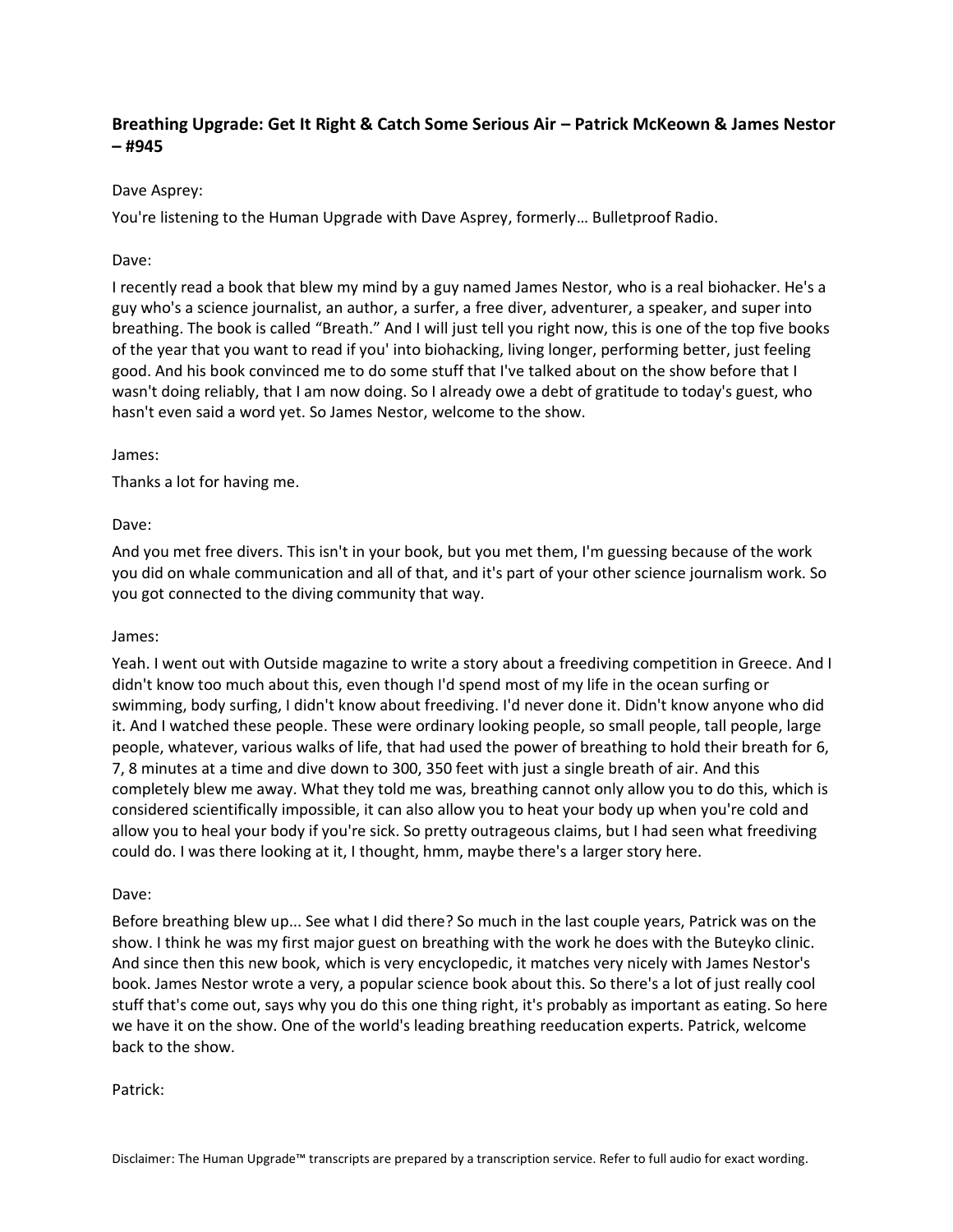# **Breathing Upgrade: Get It Right & Catch Some Serious Air – Patrick McKeown & James Nestor – #945**

## Dave Asprey:

You're listening to the Human Upgrade with Dave Asprey, formerly… Bulletproof Radio.

## Dave:

I recently read a book that blew my mind by a guy named James Nestor, who is a real biohacker. He's a guy who's a science journalist, an author, a surfer, a free diver, adventurer, a speaker, and super into breathing. The book is called "Breath." And I will just tell you right now, this is one of the top five books of the year that you want to read if you' into biohacking, living longer, performing better, just feeling good. And his book convinced me to do some stuff that I've talked about on the show before that I wasn't doing reliably, that I am now doing. So I already owe a debt of gratitude to today's guest, who hasn't even said a word yet. So James Nestor, welcome to the show.

## James:

Thanks a lot for having me.

## Dave:

And you met free divers. This isn't in your book, but you met them, I'm guessing because of the work you did on whale communication and all of that, and it's part of your other science journalism work. So you got connected to the diving community that way.

## James:

Yeah. I went out with Outside magazine to write a story about a freediving competition in Greece. And I didn't know too much about this, even though I'd spend most of my life in the ocean surfing or swimming, body surfing, I didn't know about freediving. I'd never done it. Didn't know anyone who did it. And I watched these people. These were ordinary looking people, so small people, tall people, large people, whatever, various walks of life, that had used the power of breathing to hold their breath for 6, 7, 8 minutes at a time and dive down to 300, 350 feet with just a single breath of air. And this completely blew me away. What they told me was, breathing cannot only allow you to do this, which is considered scientifically impossible, it can also allow you to heat your body up when you're cold and allow you to heal your body if you're sick. So pretty outrageous claims, but I had seen what freediving could do. I was there looking at it, I thought, hmm, maybe there's a larger story here.

## Dave:

Before breathing blew up... See what I did there? So much in the last couple years, Patrick was on the show. I think he was my first major guest on breathing with the work he does with the Buteyko clinic. And since then this new book, which is very encyclopedic, it matches very nicely with James Nestor's book. James Nestor wrote a very, a popular science book about this. So there's a lot of just really cool stuff that's come out, says why you do this one thing right, it's probably as important as eating. So here we have it on the show. One of the world's leading breathing reeducation experts. Patrick, welcome back to the show.

### Patrick: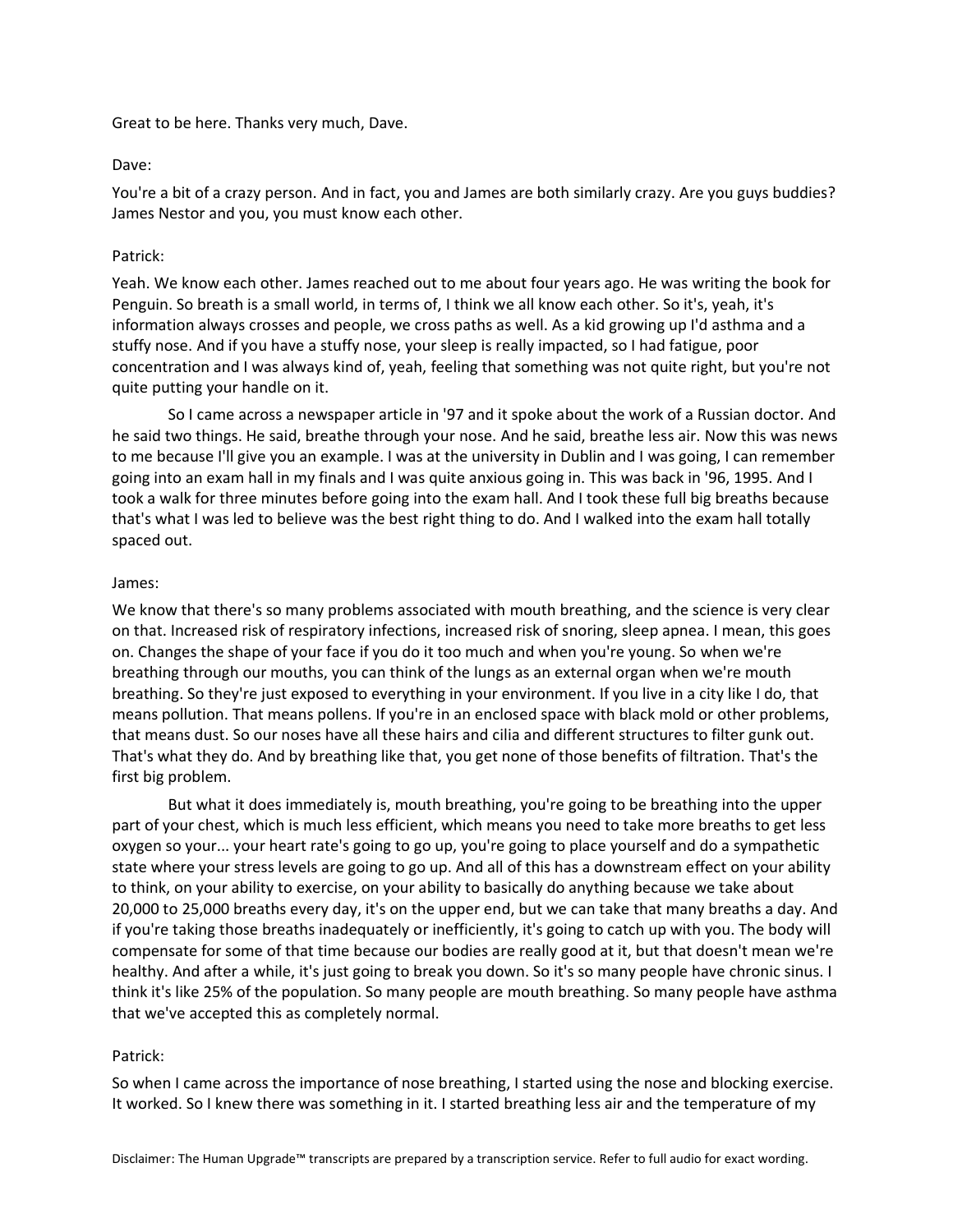Great to be here. Thanks very much, Dave.

## Dave:

You're a bit of a crazy person. And in fact, you and James are both similarly crazy. Are you guys buddies? James Nestor and you, you must know each other.

## Patrick:

Yeah. We know each other. James reached out to me about four years ago. He was writing the book for Penguin. So breath is a small world, in terms of, I think we all know each other. So it's, yeah, it's information always crosses and people, we cross paths as well. As a kid growing up I'd asthma and a stuffy nose. And if you have a stuffy nose, your sleep is really impacted, so I had fatigue, poor concentration and I was always kind of, yeah, feeling that something was not quite right, but you're not quite putting your handle on it.

So I came across a newspaper article in '97 and it spoke about the work of a Russian doctor. And he said two things. He said, breathe through your nose. And he said, breathe less air. Now this was news to me because I'll give you an example. I was at the university in Dublin and I was going, I can remember going into an exam hall in my finals and I was quite anxious going in. This was back in '96, 1995. And I took a walk for three minutes before going into the exam hall. And I took these full big breaths because that's what I was led to believe was the best right thing to do. And I walked into the exam hall totally spaced out.

### James:

We know that there's so many problems associated with mouth breathing, and the science is very clear on that. Increased risk of respiratory infections, increased risk of snoring, sleep apnea. I mean, this goes on. Changes the shape of your face if you do it too much and when you're young. So when we're breathing through our mouths, you can think of the lungs as an external organ when we're mouth breathing. So they're just exposed to everything in your environment. If you live in a city like I do, that means pollution. That means pollens. If you're in an enclosed space with black mold or other problems, that means dust. So our noses have all these hairs and cilia and different structures to filter gunk out. That's what they do. And by breathing like that, you get none of those benefits of filtration. That's the first big problem.

But what it does immediately is, mouth breathing, you're going to be breathing into the upper part of your chest, which is much less efficient, which means you need to take more breaths to get less oxygen so your... your heart rate's going to go up, you're going to place yourself and do a sympathetic state where your stress levels are going to go up. And all of this has a downstream effect on your ability to think, on your ability to exercise, on your ability to basically do anything because we take about 20,000 to 25,000 breaths every day, it's on the upper end, but we can take that many breaths a day. And if you're taking those breaths inadequately or inefficiently, it's going to catch up with you. The body will compensate for some of that time because our bodies are really good at it, but that doesn't mean we're healthy. And after a while, it's just going to break you down. So it's so many people have chronic sinus. I think it's like 25% of the population. So many people are mouth breathing. So many people have asthma that we've accepted this as completely normal.

## Patrick:

So when I came across the importance of nose breathing, I started using the nose and blocking exercise. It worked. So I knew there was something in it. I started breathing less air and the temperature of my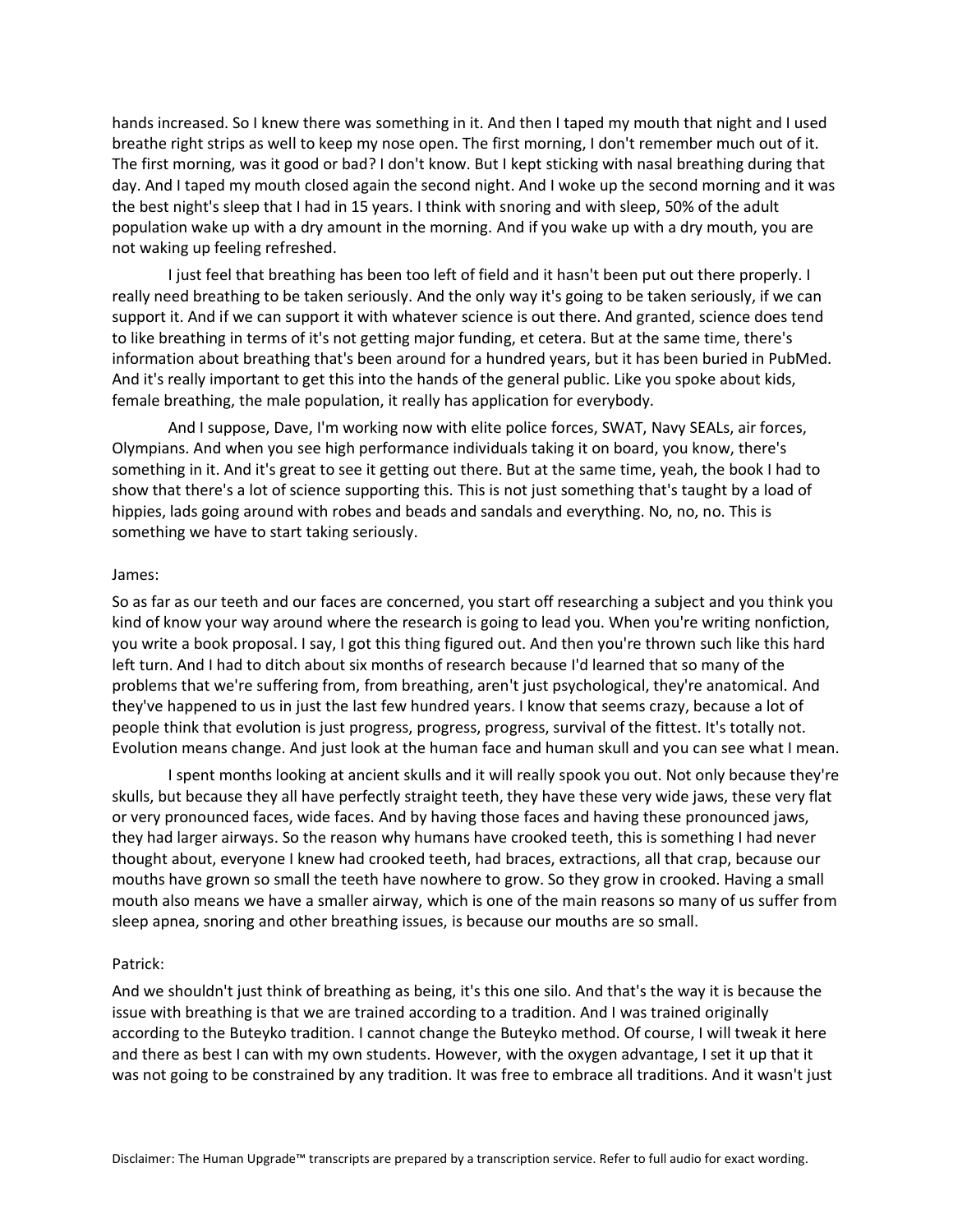hands increased. So I knew there was something in it. And then I taped my mouth that night and I used breathe right strips as well to keep my nose open. The first morning, I don't remember much out of it. The first morning, was it good or bad? I don't know. But I kept sticking with nasal breathing during that day. And I taped my mouth closed again the second night. And I woke up the second morning and it was the best night's sleep that I had in 15 years. I think with snoring and with sleep, 50% of the adult population wake up with a dry amount in the morning. And if you wake up with a dry mouth, you are not waking up feeling refreshed.

I just feel that breathing has been too left of field and it hasn't been put out there properly. I really need breathing to be taken seriously. And the only way it's going to be taken seriously, if we can support it. And if we can support it with whatever science is out there. And granted, science does tend to like breathing in terms of it's not getting major funding, et cetera. But at the same time, there's information about breathing that's been around for a hundred years, but it has been buried in PubMed. And it's really important to get this into the hands of the general public. Like you spoke about kids, female breathing, the male population, it really has application for everybody.

And I suppose, Dave, I'm working now with elite police forces, SWAT, Navy SEALs, air forces, Olympians. And when you see high performance individuals taking it on board, you know, there's something in it. And it's great to see it getting out there. But at the same time, yeah, the book I had to show that there's a lot of science supporting this. This is not just something that's taught by a load of hippies, lads going around with robes and beads and sandals and everything. No, no, no. This is something we have to start taking seriously.

### James:

So as far as our teeth and our faces are concerned, you start off researching a subject and you think you kind of know your way around where the research is going to lead you. When you're writing nonfiction, you write a book proposal. I say, I got this thing figured out. And then you're thrown such like this hard left turn. And I had to ditch about six months of research because I'd learned that so many of the problems that we're suffering from, from breathing, aren't just psychological, they're anatomical. And they've happened to us in just the last few hundred years. I know that seems crazy, because a lot of people think that evolution is just progress, progress, progress, survival of the fittest. It's totally not. Evolution means change. And just look at the human face and human skull and you can see what I mean.

I spent months looking at ancient skulls and it will really spook you out. Not only because they're skulls, but because they all have perfectly straight teeth, they have these very wide jaws, these very flat or very pronounced faces, wide faces. And by having those faces and having these pronounced jaws, they had larger airways. So the reason why humans have crooked teeth, this is something I had never thought about, everyone I knew had crooked teeth, had braces, extractions, all that crap, because our mouths have grown so small the teeth have nowhere to grow. So they grow in crooked. Having a small mouth also means we have a smaller airway, which is one of the main reasons so many of us suffer from sleep apnea, snoring and other breathing issues, is because our mouths are so small.

#### Patrick:

And we shouldn't just think of breathing as being, it's this one silo. And that's the way it is because the issue with breathing is that we are trained according to a tradition. And I was trained originally according to the Buteyko tradition. I cannot change the Buteyko method. Of course, I will tweak it here and there as best I can with my own students. However, with the oxygen advantage, I set it up that it was not going to be constrained by any tradition. It was free to embrace all traditions. And it wasn't just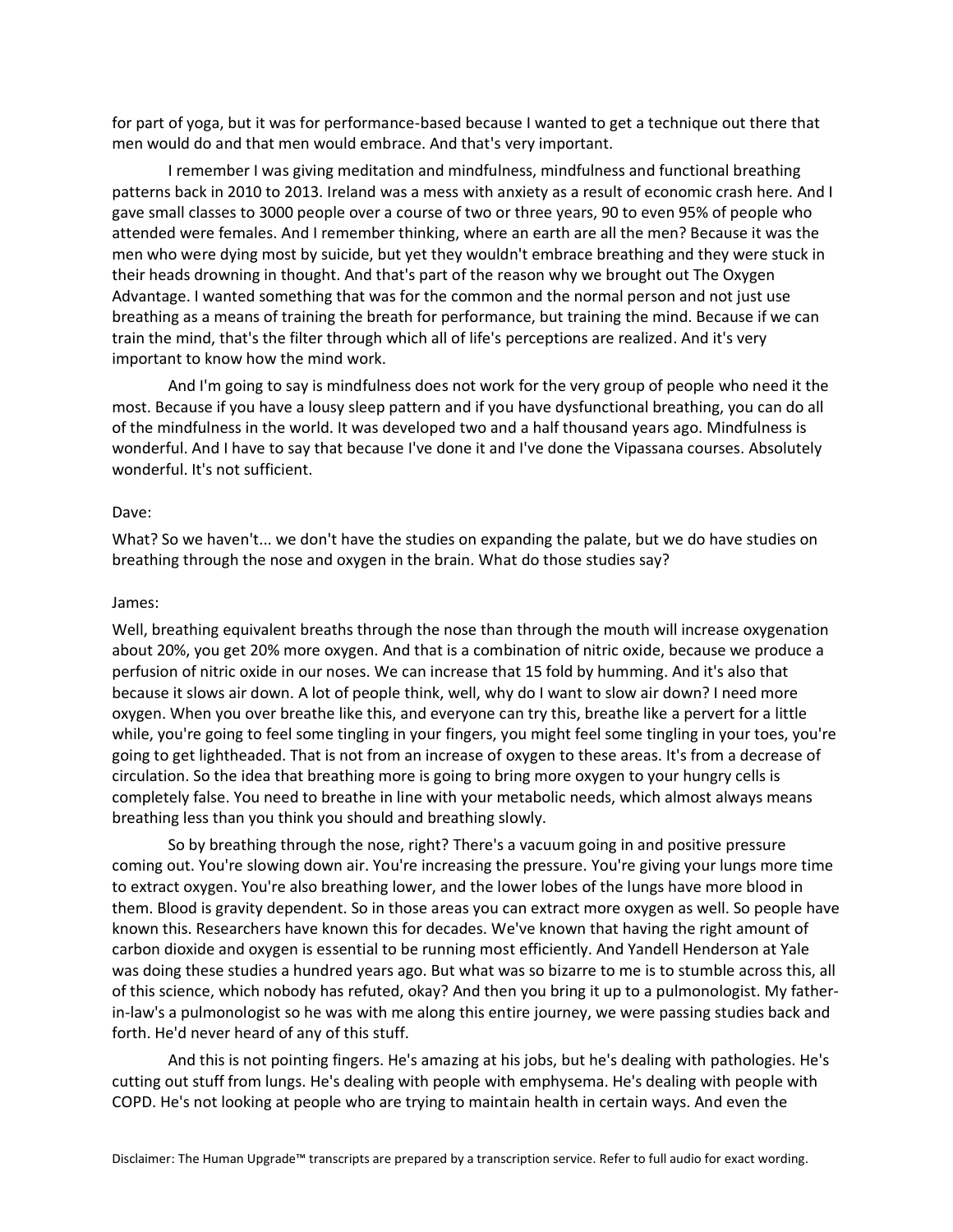for part of yoga, but it was for performance-based because I wanted to get a technique out there that men would do and that men would embrace. And that's very important.

I remember I was giving meditation and mindfulness, mindfulness and functional breathing patterns back in 2010 to 2013. Ireland was a mess with anxiety as a result of economic crash here. And I gave small classes to 3000 people over a course of two or three years, 90 to even 95% of people who attended were females. And I remember thinking, where an earth are all the men? Because it was the men who were dying most by suicide, but yet they wouldn't embrace breathing and they were stuck in their heads drowning in thought. And that's part of the reason why we brought out The Oxygen Advantage. I wanted something that was for the common and the normal person and not just use breathing as a means of training the breath for performance, but training the mind. Because if we can train the mind, that's the filter through which all of life's perceptions are realized. And it's very important to know how the mind work.

And I'm going to say is mindfulness does not work for the very group of people who need it the most. Because if you have a lousy sleep pattern and if you have dysfunctional breathing, you can do all of the mindfulness in the world. It was developed two and a half thousand years ago. Mindfulness is wonderful. And I have to say that because I've done it and I've done the Vipassana courses. Absolutely wonderful. It's not sufficient.

#### Dave:

What? So we haven't... we don't have the studies on expanding the palate, but we do have studies on breathing through the nose and oxygen in the brain. What do those studies say?

#### James:

Well, breathing equivalent breaths through the nose than through the mouth will increase oxygenation about 20%, you get 20% more oxygen. And that is a combination of nitric oxide, because we produce a perfusion of nitric oxide in our noses. We can increase that 15 fold by humming. And it's also that because it slows air down. A lot of people think, well, why do I want to slow air down? I need more oxygen. When you over breathe like this, and everyone can try this, breathe like a pervert for a little while, you're going to feel some tingling in your fingers, you might feel some tingling in your toes, you're going to get lightheaded. That is not from an increase of oxygen to these areas. It's from a decrease of circulation. So the idea that breathing more is going to bring more oxygen to your hungry cells is completely false. You need to breathe in line with your metabolic needs, which almost always means breathing less than you think you should and breathing slowly.

So by breathing through the nose, right? There's a vacuum going in and positive pressure coming out. You're slowing down air. You're increasing the pressure. You're giving your lungs more time to extract oxygen. You're also breathing lower, and the lower lobes of the lungs have more blood in them. Blood is gravity dependent. So in those areas you can extract more oxygen as well. So people have known this. Researchers have known this for decades. We've known that having the right amount of carbon dioxide and oxygen is essential to be running most efficiently. And Yandell Henderson at Yale was doing these studies a hundred years ago. But what was so bizarre to me is to stumble across this, all of this science, which nobody has refuted, okay? And then you bring it up to a pulmonologist. My fatherin-law's a pulmonologist so he was with me along this entire journey, we were passing studies back and forth. He'd never heard of any of this stuff.

And this is not pointing fingers. He's amazing at his jobs, but he's dealing with pathologies. He's cutting out stuff from lungs. He's dealing with people with emphysema. He's dealing with people with COPD. He's not looking at people who are trying to maintain health in certain ways. And even the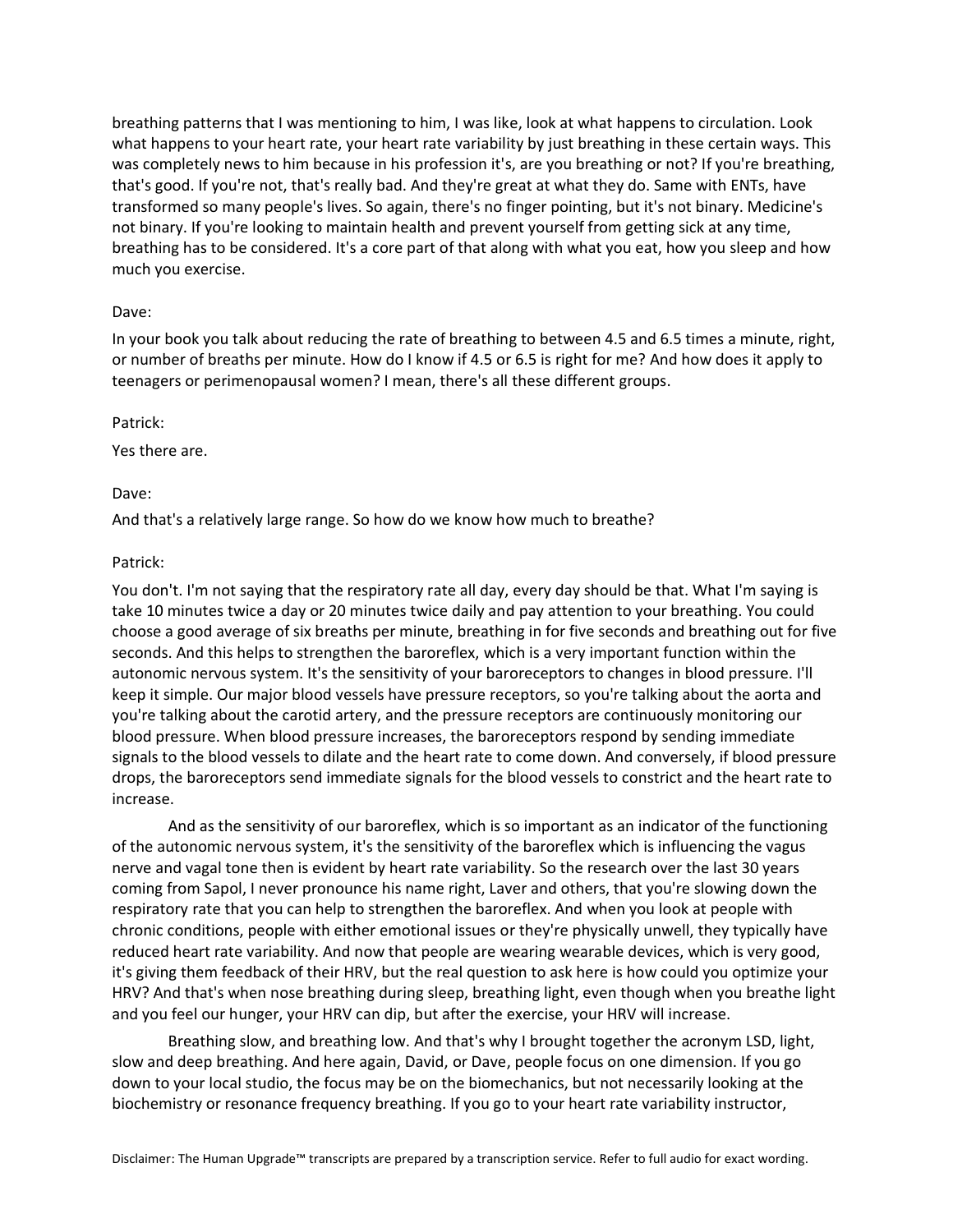breathing patterns that I was mentioning to him, I was like, look at what happens to circulation. Look what happens to your heart rate, your heart rate variability by just breathing in these certain ways. This was completely news to him because in his profession it's, are you breathing or not? If you're breathing, that's good. If you're not, that's really bad. And they're great at what they do. Same with ENTs, have transformed so many people's lives. So again, there's no finger pointing, but it's not binary. Medicine's not binary. If you're looking to maintain health and prevent yourself from getting sick at any time, breathing has to be considered. It's a core part of that along with what you eat, how you sleep and how much you exercise.

### Dave:

In your book you talk about reducing the rate of breathing to between 4.5 and 6.5 times a minute, right, or number of breaths per minute. How do I know if 4.5 or 6.5 is right for me? And how does it apply to teenagers or perimenopausal women? I mean, there's all these different groups.

#### Patrick:

Yes there are.

### Dave:

And that's a relatively large range. So how do we know how much to breathe?

### Patrick:

You don't. I'm not saying that the respiratory rate all day, every day should be that. What I'm saying is take 10 minutes twice a day or 20 minutes twice daily and pay attention to your breathing. You could choose a good average of six breaths per minute, breathing in for five seconds and breathing out for five seconds. And this helps to strengthen the baroreflex, which is a very important function within the autonomic nervous system. It's the sensitivity of your baroreceptors to changes in blood pressure. I'll keep it simple. Our major blood vessels have pressure receptors, so you're talking about the aorta and you're talking about the carotid artery, and the pressure receptors are continuously monitoring our blood pressure. When blood pressure increases, the baroreceptors respond by sending immediate signals to the blood vessels to dilate and the heart rate to come down. And conversely, if blood pressure drops, the baroreceptors send immediate signals for the blood vessels to constrict and the heart rate to increase.

And as the sensitivity of our baroreflex, which is so important as an indicator of the functioning of the autonomic nervous system, it's the sensitivity of the baroreflex which is influencing the vagus nerve and vagal tone then is evident by heart rate variability. So the research over the last 30 years coming from Sapol, I never pronounce his name right, Laver and others, that you're slowing down the respiratory rate that you can help to strengthen the baroreflex. And when you look at people with chronic conditions, people with either emotional issues or they're physically unwell, they typically have reduced heart rate variability. And now that people are wearing wearable devices, which is very good, it's giving them feedback of their HRV, but the real question to ask here is how could you optimize your HRV? And that's when nose breathing during sleep, breathing light, even though when you breathe light and you feel our hunger, your HRV can dip, but after the exercise, your HRV will increase.

Breathing slow, and breathing low. And that's why I brought together the acronym LSD, light, slow and deep breathing. And here again, David, or Dave, people focus on one dimension. If you go down to your local studio, the focus may be on the biomechanics, but not necessarily looking at the biochemistry or resonance frequency breathing. If you go to your heart rate variability instructor,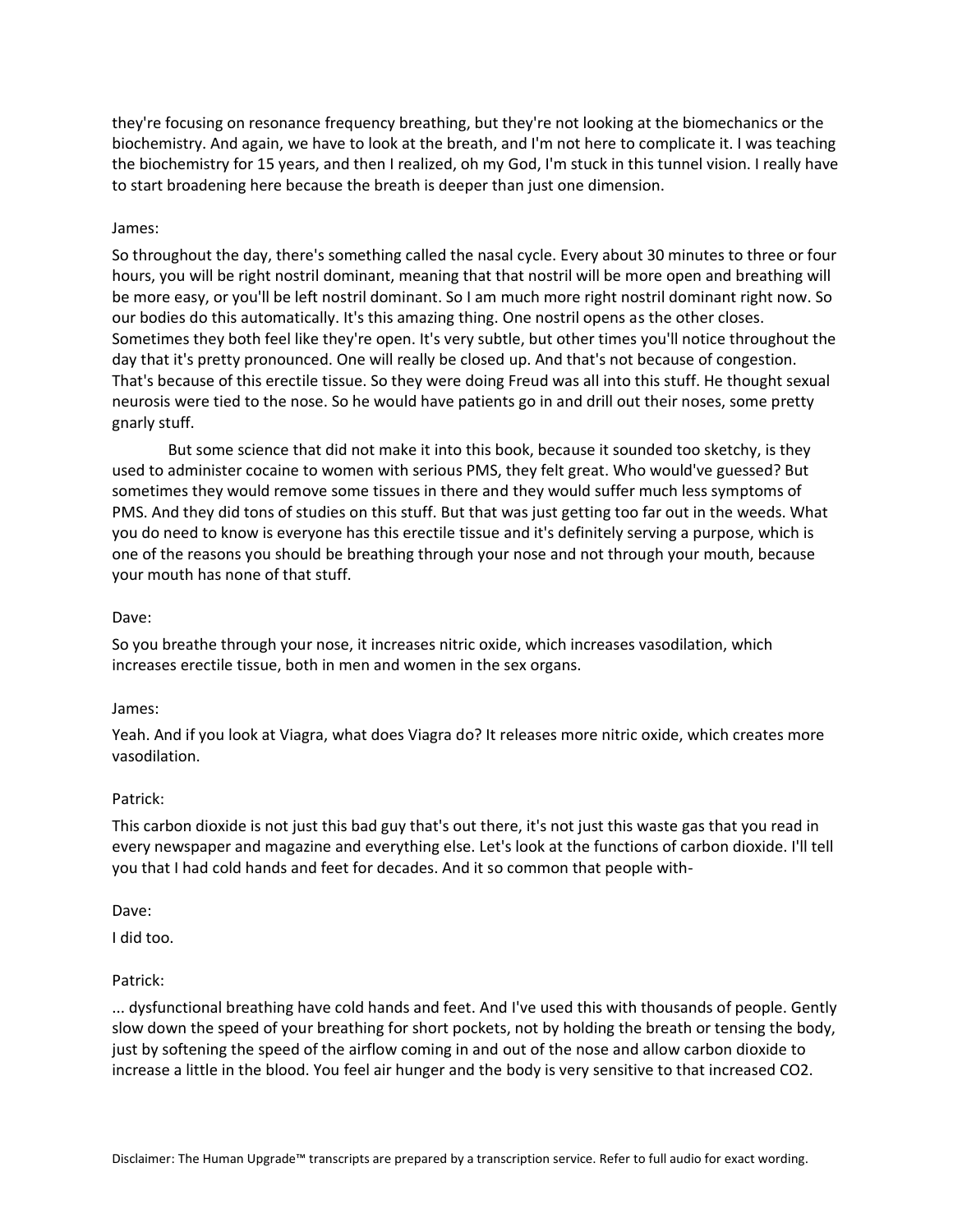they're focusing on resonance frequency breathing, but they're not looking at the biomechanics or the biochemistry. And again, we have to look at the breath, and I'm not here to complicate it. I was teaching the biochemistry for 15 years, and then I realized, oh my God, I'm stuck in this tunnel vision. I really have to start broadening here because the breath is deeper than just one dimension.

### James:

So throughout the day, there's something called the nasal cycle. Every about 30 minutes to three or four hours, you will be right nostril dominant, meaning that that nostril will be more open and breathing will be more easy, or you'll be left nostril dominant. So I am much more right nostril dominant right now. So our bodies do this automatically. It's this amazing thing. One nostril opens as the other closes. Sometimes they both feel like they're open. It's very subtle, but other times you'll notice throughout the day that it's pretty pronounced. One will really be closed up. And that's not because of congestion. That's because of this erectile tissue. So they were doing Freud was all into this stuff. He thought sexual neurosis were tied to the nose. So he would have patients go in and drill out their noses, some pretty gnarly stuff.

But some science that did not make it into this book, because it sounded too sketchy, is they used to administer cocaine to women with serious PMS, they felt great. Who would've guessed? But sometimes they would remove some tissues in there and they would suffer much less symptoms of PMS. And they did tons of studies on this stuff. But that was just getting too far out in the weeds. What you do need to know is everyone has this erectile tissue and it's definitely serving a purpose, which is one of the reasons you should be breathing through your nose and not through your mouth, because your mouth has none of that stuff.

#### Dave:

So you breathe through your nose, it increases nitric oxide, which increases vasodilation, which increases erectile tissue, both in men and women in the sex organs.

#### James:

Yeah. And if you look at Viagra, what does Viagra do? It releases more nitric oxide, which creates more vasodilation.

### Patrick:

This carbon dioxide is not just this bad guy that's out there, it's not just this waste gas that you read in every newspaper and magazine and everything else. Let's look at the functions of carbon dioxide. I'll tell you that I had cold hands and feet for decades. And it so common that people with-

#### Dave:

I did too.

### Patrick:

... dysfunctional breathing have cold hands and feet. And I've used this with thousands of people. Gently slow down the speed of your breathing for short pockets, not by holding the breath or tensing the body, just by softening the speed of the airflow coming in and out of the nose and allow carbon dioxide to increase a little in the blood. You feel air hunger and the body is very sensitive to that increased CO2.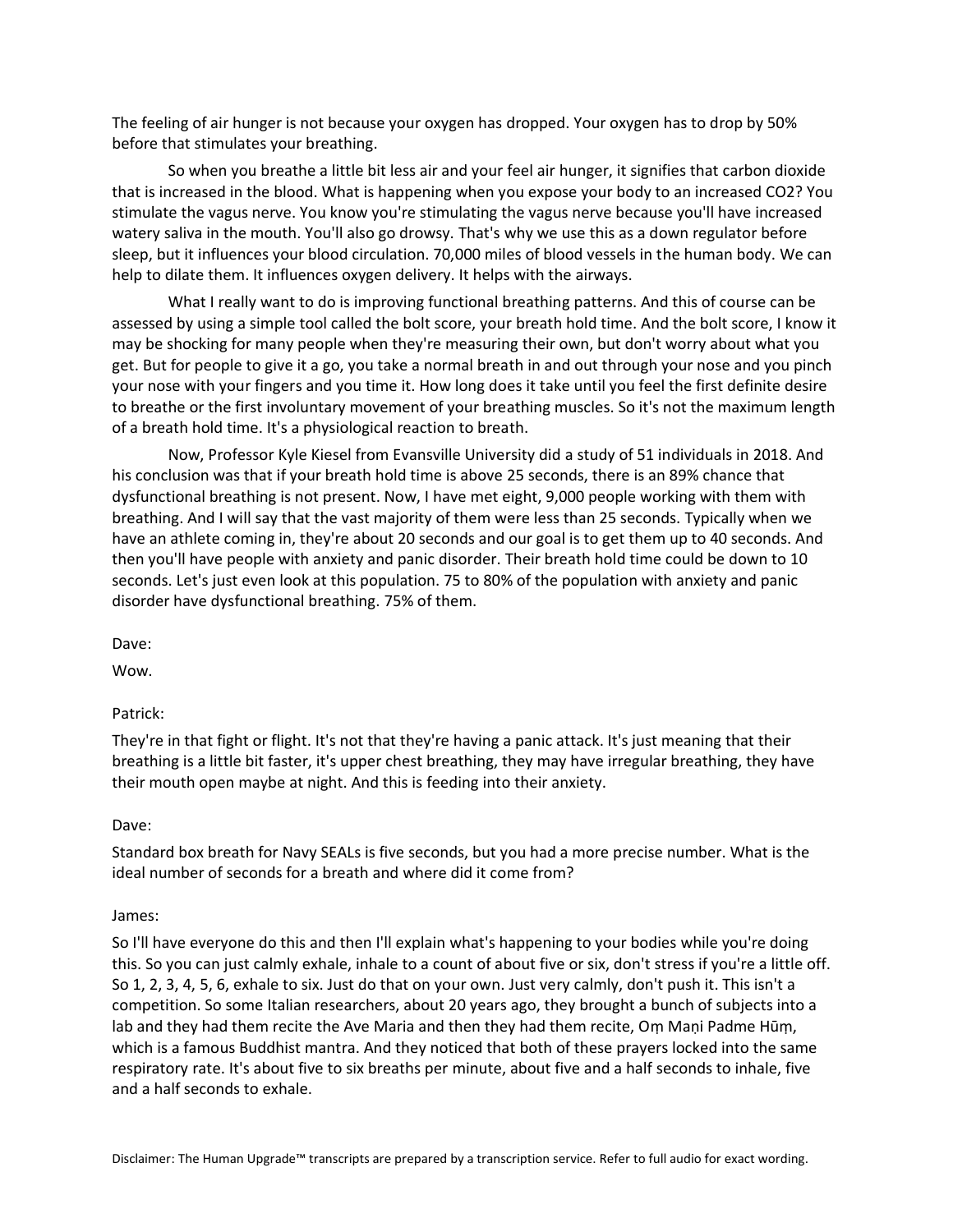The feeling of air hunger is not because your oxygen has dropped. Your oxygen has to drop by 50% before that stimulates your breathing.

So when you breathe a little bit less air and your feel air hunger, it signifies that carbon dioxide that is increased in the blood. What is happening when you expose your body to an increased CO2? You stimulate the vagus nerve. You know you're stimulating the vagus nerve because you'll have increased watery saliva in the mouth. You'll also go drowsy. That's why we use this as a down regulator before sleep, but it influences your blood circulation. 70,000 miles of blood vessels in the human body. We can help to dilate them. It influences oxygen delivery. It helps with the airways.

What I really want to do is improving functional breathing patterns. And this of course can be assessed by using a simple tool called the bolt score, your breath hold time. And the bolt score, I know it may be shocking for many people when they're measuring their own, but don't worry about what you get. But for people to give it a go, you take a normal breath in and out through your nose and you pinch your nose with your fingers and you time it. How long does it take until you feel the first definite desire to breathe or the first involuntary movement of your breathing muscles. So it's not the maximum length of a breath hold time. It's a physiological reaction to breath.

Now, Professor Kyle Kiesel from Evansville University did a study of 51 individuals in 2018. And his conclusion was that if your breath hold time is above 25 seconds, there is an 89% chance that dysfunctional breathing is not present. Now, I have met eight, 9,000 people working with them with breathing. And I will say that the vast majority of them were less than 25 seconds. Typically when we have an athlete coming in, they're about 20 seconds and our goal is to get them up to 40 seconds. And then you'll have people with anxiety and panic disorder. Their breath hold time could be down to 10 seconds. Let's just even look at this population. 75 to 80% of the population with anxiety and panic disorder have dysfunctional breathing. 75% of them.

Dave:

Wow.

Patrick:

They're in that fight or flight. It's not that they're having a panic attack. It's just meaning that their breathing is a little bit faster, it's upper chest breathing, they may have irregular breathing, they have their mouth open maybe at night. And this is feeding into their anxiety.

### Dave:

Standard box breath for Navy SEALs is five seconds, but you had a more precise number. What is the ideal number of seconds for a breath and where did it come from?

#### James:

So I'll have everyone do this and then I'll explain what's happening to your bodies while you're doing this. So you can just calmly exhale, inhale to a count of about five or six, don't stress if you're a little off. So 1, 2, 3, 4, 5, 6, exhale to six. Just do that on your own. Just very calmly, don't push it. This isn't a competition. So some Italian researchers, about 20 years ago, they brought a bunch of subjects into a lab and they had them recite the Ave Maria and then they had them recite, Oṃ Maṇi Padme Hūṃ, which is a famous Buddhist mantra. And they noticed that both of these prayers locked into the same respiratory rate. It's about five to six breaths per minute, about five and a half seconds to inhale, five and a half seconds to exhale.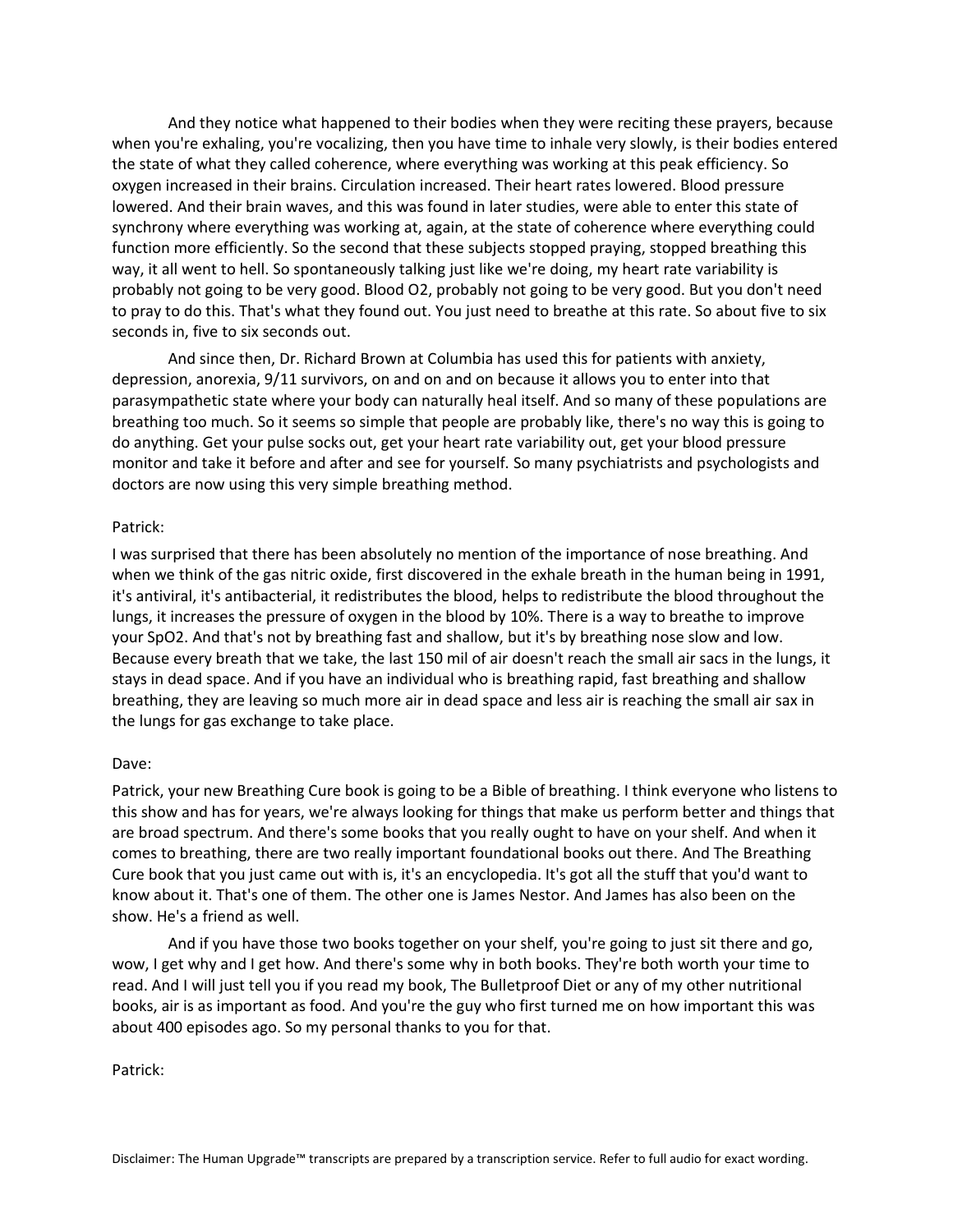And they notice what happened to their bodies when they were reciting these prayers, because when you're exhaling, you're vocalizing, then you have time to inhale very slowly, is their bodies entered the state of what they called coherence, where everything was working at this peak efficiency. So oxygen increased in their brains. Circulation increased. Their heart rates lowered. Blood pressure lowered. And their brain waves, and this was found in later studies, were able to enter this state of synchrony where everything was working at, again, at the state of coherence where everything could function more efficiently. So the second that these subjects stopped praying, stopped breathing this way, it all went to hell. So spontaneously talking just like we're doing, my heart rate variability is probably not going to be very good. Blood O2, probably not going to be very good. But you don't need to pray to do this. That's what they found out. You just need to breathe at this rate. So about five to six seconds in, five to six seconds out.

And since then, Dr. Richard Brown at Columbia has used this for patients with anxiety, depression, anorexia, 9/11 survivors, on and on and on because it allows you to enter into that parasympathetic state where your body can naturally heal itself. And so many of these populations are breathing too much. So it seems so simple that people are probably like, there's no way this is going to do anything. Get your pulse socks out, get your heart rate variability out, get your blood pressure monitor and take it before and after and see for yourself. So many psychiatrists and psychologists and doctors are now using this very simple breathing method.

### Patrick:

I was surprised that there has been absolutely no mention of the importance of nose breathing. And when we think of the gas nitric oxide, first discovered in the exhale breath in the human being in 1991, it's antiviral, it's antibacterial, it redistributes the blood, helps to redistribute the blood throughout the lungs, it increases the pressure of oxygen in the blood by 10%. There is a way to breathe to improve your SpO2. And that's not by breathing fast and shallow, but it's by breathing nose slow and low. Because every breath that we take, the last 150 mil of air doesn't reach the small air sacs in the lungs, it stays in dead space. And if you have an individual who is breathing rapid, fast breathing and shallow breathing, they are leaving so much more air in dead space and less air is reaching the small air sax in the lungs for gas exchange to take place.

#### Dave:

Patrick, your new Breathing Cure book is going to be a Bible of breathing. I think everyone who listens to this show and has for years, we're always looking for things that make us perform better and things that are broad spectrum. And there's some books that you really ought to have on your shelf. And when it comes to breathing, there are two really important foundational books out there. And The Breathing Cure book that you just came out with is, it's an encyclopedia. It's got all the stuff that you'd want to know about it. That's one of them. The other one is James Nestor. And James has also been on the show. He's a friend as well.

And if you have those two books together on your shelf, you're going to just sit there and go, wow, I get why and I get how. And there's some why in both books. They're both worth your time to read. And I will just tell you if you read my book, The Bulletproof Diet or any of my other nutritional books, air is as important as food. And you're the guy who first turned me on how important this was about 400 episodes ago. So my personal thanks to you for that.

Patrick: